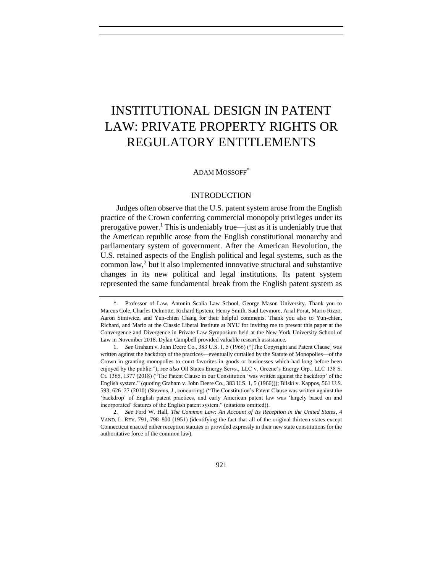# <span id="page-0-0"></span>INSTITUTIONAL DESIGN IN PATENT LAW: PRIVATE PROPERTY RIGHTS OR REGULATORY ENTITLEMENTS

#### ADAM MOSSOFF<sup>\*</sup>

## INTRODUCTION

Judges often observe that the U.S. patent system arose from the English practice of the Crown conferring commercial monopoly privileges under its prerogative power.<sup>1</sup> This is undeniably true—just as it is undeniably true that the American republic arose from the English constitutional monarchy and parliamentary system of government. After the American Revolution, the U.S. retained aspects of the English political and legal systems, such as the common law,<sup>2</sup> but it also implemented innovative structural and substantive changes in its new political and legal institutions. Its patent system represented the same fundamental break from the English patent system as

<sup>\*.</sup> Professor of Law, Antonin Scalia Law School, George Mason University. Thank you to Marcus Cole, Charles Delmotte, Richard Epstein, Henry Smith, Saul Levmore, Arial Porat, Mario Rizzo, Aaron Simiwicz, and Yun-chien Chang for their helpful comments. Thank you also to Yun-chien, Richard, and Mario at the Classic Liberal Institute at NYU for inviting me to present this paper at the Convergence and Divergence in Private Law Symposium held at the New York University School of Law in November 2018. Dylan Campbell provided valuable research assistance.

<sup>1.</sup> *See* Graham v. John Deere Co., 383 U.S. 1, 5 (1966) ("[The Copyright and Patent Clause] was written against the backdrop of the practices—eventually curtailed by the Statute of Monopolies—of the Crown in granting monopolies to court favorites in goods or businesses which had long before been enjoyed by the public."); *see also* Oil States Energy Servs., LLC v. Greene's Energy Grp., LLC 138 S. Ct. 1365, 1377 (2018) ("The Patent Clause in our Constitution 'was written against the backdrop' of the English system." (quoting Graham v. John Deere Co., 383 U.S. 1, 5 (1966))); Bilski v. Kappos, 561 U.S. 593, 626–27 (2010) (Stevens, J., concurring) ("The Constitution's Patent Clause was written against the 'backdrop' of English patent practices, and early American patent law was 'largely based on and incorporated' features of the English patent system." (citations omitted)).

<sup>2.</sup> *See* Ford W. Hall, *The Common Law: An Account of Its Reception in the United States*, 4 VAND. L. REV. 791, 798–800 (1951) (identifying the fact that all of the original thirteen states except Connecticut enacted either reception statutes or provided expressly in their new state constitutions for the authoritative force of the common law).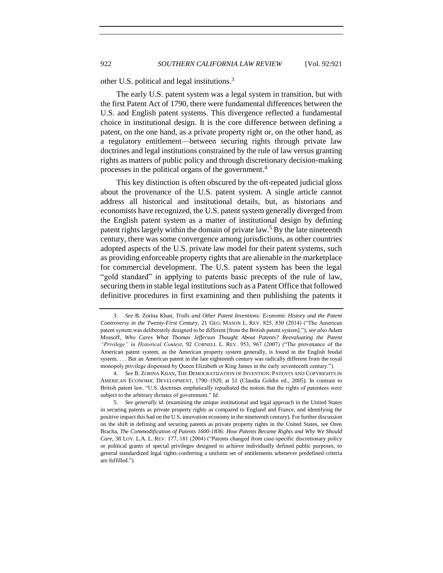other U.S. political and legal institutions.<sup>3</sup>

The early U.S. patent system was a legal system in transition, but with the first Patent Act of 1790, there were fundamental differences between the U.S. and English patent systems. This divergence reflected a fundamental choice in institutional design. It is the core difference between defining a patent, on the one hand, as a private property right or, on the other hand, as a regulatory entitlement—between securing rights through private law doctrines and legal institutions constrained by the rule of law versus granting rights as matters of public policy and through discretionary decision-making processes in the political organs of the government.<sup>4</sup>

This key distinction is often obscured by the oft-repeated judicial gloss about the provenance of the U.S. patent system. A single article cannot address all historical and institutional details, but, as historians and economists have recognized, the U.S. patent system generally diverged from the English patent system as a matter of institutional design by defining patent rights largely within the domain of private law.<sup>5</sup> By the late nineteenth century, there was some convergence among jurisdictions, as other countries adopted aspects of the U.S. private law model for their patent systems, such as providing enforceable property rights that are alienable in the marketplace for commercial development. The U.S. patent system has been the legal "gold standard" in applying to patents basic precepts of the rule of law, securing them in stable legal institutions such as a Patent Office that followed definitive procedures in first examining and then publishing the patents it

<sup>3.</sup> *See* B. Zorina Khan, *Trolls and Other Patent Inventions: Economic History and the Patent Controversy in the Twenty-First Century*, 21 GEO. MASON L. REV. 825, 830 (2014) ("The American patent system was deliberately designed to be different [from the British patent system]."); *see also* Adam Mossoff, *Who Cares What Thomas Jefferson Thought About Patents? Reevaluating the Patent "Privilege" in Historical Context*, 92 CORNELL L. REV. 953, 967 (2007) ("The provenance of the American patent system, as the American property system generally, is found in the English feudal system. . . . But an American patent in the late eighteenth century was radically different from the royal monopoly privilege dispensed by Queen Elizabeth or King James in the early seventeenth century.").

<sup>4.</sup> *See* B. ZORINA KHAN, THE DEMOCRATIZATION OF INVENTION: PATENTS AND COPYRIGHTS IN AMERICAN ECONOMIC DEVELOPMENT, 1790–1920, at 51 (Claudia Goldin ed., 2005). In contrast to British patent law, "U.S. doctrines emphatically repudiated the notion that the rights of patentees were subject to the arbitrary dictates of government." *Id.* 

<sup>5.</sup> *See generally id.* (examining the unique institutional and legal approach in the United States in securing patents as private property rights as compared to England and France, and identifying the positive impact this had on the U.S. innovation economy in the nineteenth century). For further discussion on the shift in defining and securing patents as private property rights in the United States, see Oren Bracha, *The Commodification of Patents 1600-1836: How Patents Became Rights and Why We Should Care*, 38 LOY. L.A. L. REV. 177, 181 (2004) ("Patents changed from case-specific discretionary policy or political grants of special privileges designed to achieve individually defined public purposes, to general standardized legal rights conferring a uniform set of entitlements whenever predefined criteria are fulfilled.").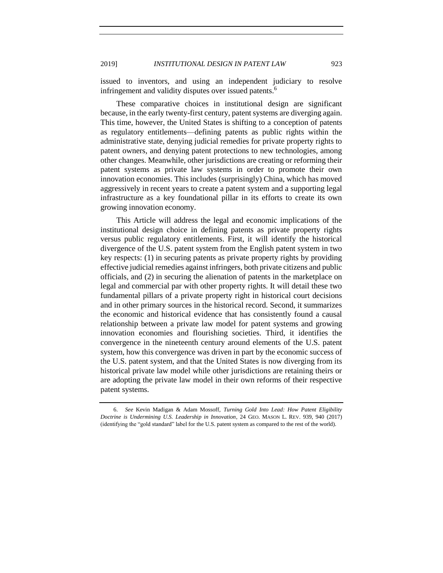issued to inventors, and using an independent judiciary to resolve infringement and validity disputes over issued patents.<sup>6</sup>

These comparative choices in institutional design are significant because, in the early twenty-first century, patent systems are diverging again. This time, however, the United States is shifting to a conception of patents as regulatory entitlements—defining patents as public rights within the administrative state, denying judicial remedies for private property rights to patent owners, and denying patent protections to new technologies, among other changes. Meanwhile, other jurisdictions are creating or reforming their patent systems as private law systems in order to promote their own innovation economies. This includes (surprisingly) China, which has moved aggressively in recent years to create a patent system and a supporting legal infrastructure as a key foundational pillar in its efforts to create its own growing innovation economy.

This Article will address the legal and economic implications of the institutional design choice in defining patents as private property rights versus public regulatory entitlements. First, it will identify the historical divergence of the U.S. patent system from the English patent system in two key respects: (1) in securing patents as private property rights by providing effective judicial remedies against infringers, both private citizens and public officials, and (2) in securing the alienation of patents in the marketplace on legal and commercial par with other property rights. It will detail these two fundamental pillars of a private property right in historical court decisions and in other primary sources in the historical record. Second, it summarizes the economic and historical evidence that has consistently found a causal relationship between a private law model for patent systems and growing innovation economies and flourishing societies. Third, it identifies the convergence in the nineteenth century around elements of the U.S. patent system, how this convergence was driven in part by the economic success of the U.S. patent system, and that the United States is now diverging from its historical private law model while other jurisdictions are retaining theirs or are adopting the private law model in their own reforms of their respective patent systems.

<sup>6.</sup> *See* Kevin Madigan & Adam Mossoff, *Turning Gold Into Lead: How Patent Eligibility Doctrine is Undermining U.S. Leadership in Innovation*, 24 GEO. MASON L. REV. 939, 940 (2017) (identifying the "gold standard" label for the U.S. patent system as compared to the rest of the world).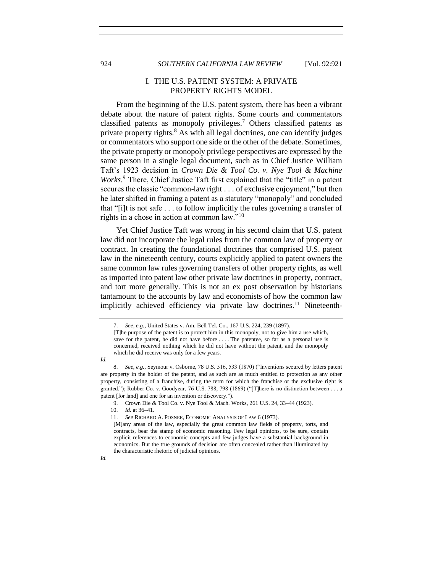<span id="page-3-0"></span>924 *SOUTHERN CALIFORNIA LAW REVIEW* [Vol. 92:921

## I. THE U.S. PATENT SYSTEM: A PRIVATE PROPERTY RIGHTS MODEL

From the beginning of the U.S. patent system, there has been a vibrant debate about the nature of patent rights. Some courts and commentators classified patents as monopoly privileges.<sup>7</sup> Others classified patents as private property rights.<sup>8</sup> As with all legal doctrines, one can identify judges or commentators who support one side or the other of the debate. Sometimes, the private property or monopoly privilege perspectives are expressed by the same person in a single legal document, such as in Chief Justice William Taft's 1923 decision in *Crown Die & Tool Co. v. Nye Tool & Machine Works*. <sup>9</sup> There, Chief Justice Taft first explained that the "title" in a patent secures the classic "common-law right . . . of exclusive enjoyment," but then he later shifted in framing a patent as a statutory "monopoly" and concluded that "[i]t is not safe . . . to follow implicitly the rules governing a transfer of rights in a chose in action at common law." $10$ 

Yet Chief Justice Taft was wrong in his second claim that U.S. patent law did not incorporate the legal rules from the common law of property or contract. In creating the foundational doctrines that comprised U.S. patent law in the nineteenth century, courts explicitly applied to patent owners the same common law rules governing transfers of other property rights, as well as imported into patent law other private law doctrines in property, contract, and tort more generally. This is not an ex post observation by historians tantamount to the accounts by law and economists of how the common law implicitly achieved efficiency via private law doctrines.<sup>11</sup> Nineteenth-

*Id.*

*Id.*

<sup>7.</sup> *See, e.g.*, United States v. Am. Bell Tel. Co., 167 U.S. 224, 239 (1897).

<sup>[</sup>T]he purpose of the patent is to protect him in this monopoly, not to give him a use which, save for the patent, he did not have before . . . . The patentee, so far as a personal use is concerned, received nothing which he did not have without the patent, and the monopoly which he did receive was only for a few years.

<sup>8.</sup> *See, e.g.*, Seymour v. Osborne, 78 U.S. 516, 533 (1870) ("Inventions secured by letters patent are property in the holder of the patent, and as such are as much entitled to protection as any other property, consisting of a franchise, during the term for which the franchise or the exclusive right is granted."); Rubber Co. v. Goodyear, 76 U.S. 788, 798 (1869) ("[T]here is no distinction between . . . a patent [for land] and one for an invention or discovery.").

<sup>9.</sup> Crown Die & Tool Co. v. Nye Tool & Mach. Works, 261 U.S. 24, 33–44 (1923).

<sup>10.</sup> *Id.* at 36–41.

<sup>11.</sup> *See* RICHARD A. POSNER, ECONOMIC ANALYSIS OF LAW 6 (1973).

<sup>[</sup>M]any areas of the law, especially the great common law fields of property, torts, and contracts, bear the stamp of economic reasoning. Few legal opinions, to be sure, contain explicit references to economic concepts and few judges have a substantial background in economics. But the true grounds of decision are often concealed rather than illuminated by the characteristic rhetoric of judicial opinions.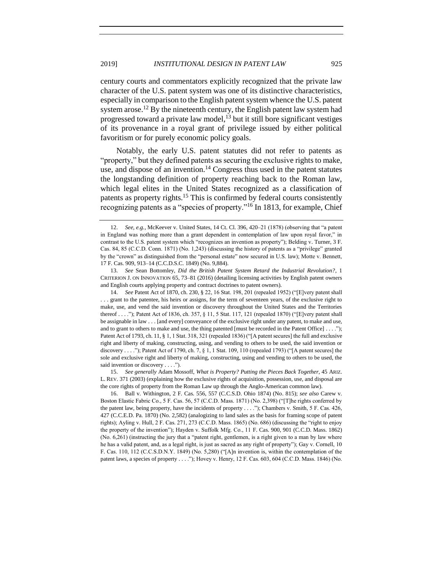<span id="page-4-0"></span>century courts and commentators explicitly recognized that the private law character of the U.S. patent system was one of its distinctive characteristics, especially in comparison to the English patent system whence the U.S. patent system arose.<sup>12</sup> By the nineteenth century, the English patent law system had progressed toward a private law model, $13$  but it still bore significant vestiges of its provenance in a royal grant of privilege issued by either political favoritism or for purely economic policy goals.

Notably, the early U.S. patent statutes did not refer to patents as "property," but they defined patents as securing the exclusive rights to make, use, and dispose of an invention.<sup>14</sup> Congress thus used in the patent statutes the longstanding definition of property reaching back to the Roman law, which legal elites in the United States recognized as a classification of patents as property rights.<sup>15</sup> This is confirmed by federal courts consistently recognizing patents as a "species of property."<sup>16</sup> In 1813, for example, Chief

13. *See* Sean Bottomley, *Did the British Patent System Retard the Industrial Revolution?*, 1 CRITERION J. ON INNOVATION 65, 73–81 (2016) (detailing licensing activities by English patent owners and English courts applying property and contract doctrines to patent owners).

14. *See* Patent Act of 1870, ch. 230, § 22, 16 Stat. 198, 201 (repealed 1952) ("[E]very patent shall . . . grant to the patentee, his heirs or assigns, for the term of seventeen years, of the exclusive right to make, use, and vend the said invention or discovery throughout the United States and the Territories thereof . . . ."); Patent Act of 1836, ch. 357, § 11, 5 Stat. 117, 121 (repealed 1870) ("[E]very patent shall be assignable in law . . . [and every] conveyance of the exclusive right under any patent, to make and use, and to grant to others to make and use, the thing patented [must be recorded in the Patent Office] . . . ."); Patent Act of 1793, ch. 11, § 1, 1 Stat. 318, 321 (repealed 1836) ("[A patent secures] the full and exclusive right and liberty of making, constructing, using, and vending to others to be used, the said invention or discovery . . . ."); Patent Act of 1790, ch. 7, § 1, 1 Stat. 109, 110 (repealed 1793) ("[A patent secures] the sole and exclusive right and liberty of making, constructing, using and vending to others to be used, the said invention or discovery . . . .").

15. *See generally* Adam Mossoff, *What is Property? Putting the Pieces Back Together*, 45 ARIZ. L. REV. 371 (2003) (explaining how the exclusive rights of acquisition, possession, use, and disposal are the core rights of property from the Roman Law up through the Anglo-American common law).

16. Ball v. Withington, 2 F. Cas. 556, 557 (C.C.S.D. Ohio 1874) (No. 815); *see also* Carew v. Boston Elastic Fabric Co., 5 F. Cas. 56, 57 (C.C.D. Mass. 1871) (No. 2,398) ("[T]he rights conferred by the patent law, being property, have the incidents of property . . . ."); Chambers v. Smith, 5 F. Cas. 426, 427 (C.C.E.D. Pa. 1870) (No. 2,582) (analogizing to land sales as the basis for framing scope of patent rights); Ayling v. Hull, 2 F. Cas. 271, 273 (C.C.D. Mass. 1865) (No. 686) (discussing the "right to enjoy the property of the invention"); Hayden v. Suffolk Mfg. Co., 11 F. Cas. 900, 901 (C.C.D. Mass. 1862) (No. 6,261) (instructing the jury that a "patent right, gentlemen, is a right given to a man by law where he has a valid patent, and, as a legal right, is just as sacred as any right of property"); Gay v. Cornell, 10 F. Cas. 110, 112 (C.C.S.D.N.Y. 1849) (No. 5,280) ("[A]n invention is, within the contemplation of the patent laws, a species of property . . . ."); Hovey v. Henry, 12 F. Cas. 603, 604 (C.C.D. Mass. 1846) (No.

<sup>12.</sup> *See, e.g.*, McKeever v. United States, 14 Ct. Cl. 396, 420–21 (1878) (observing that "a patent in England was nothing more than a grant dependent in contemplation of law upon royal favor," in contrast to the U.S. patent system which "recognizes an invention as property"); Belding v. Turner, 3 F. Cas. 84, 85 (C.C.D. Conn. 1871) (No. 1,243) (discussing the history of patents as a "privilege" granted by the "crown" as distinguished from the "personal estate" now secured in U.S. law); Motte v. Bennett, 17 F. Cas. 909, 913–14 (C.C.D.S.C. 1849) (No. 9,884).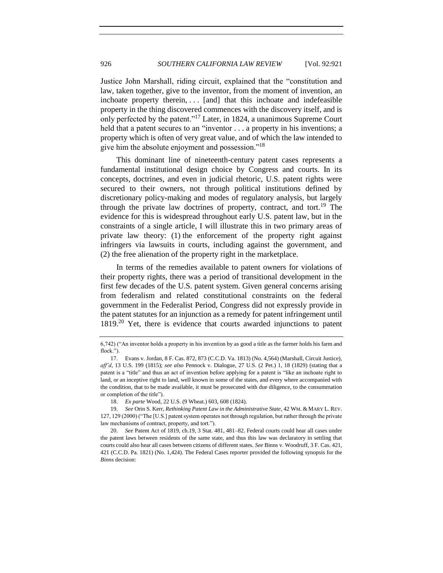Justice John Marshall, riding circuit, explained that the "constitution and law, taken together, give to the inventor, from the moment of invention, an inchoate property therein, . . . [and] that this inchoate and indefeasible property in the thing discovered commences with the discovery itself, and is only perfected by the patent."<sup>17</sup> Later, in 1824, a unanimous Supreme Court held that a patent secures to an "inventor . . . a property in his inventions; a property which is often of very great value, and of which the law intended to give him the absolute enjoyment and possession."<sup>18</sup>

This dominant line of nineteenth-century patent cases represents a fundamental institutional design choice by Congress and courts. In its concepts, doctrines, and even in judicial rhetoric, U.S. patent rights were secured to their owners, not through political institutions defined by discretionary policy-making and modes of regulatory analysis, but largely through the private law doctrines of property, contract, and tort.<sup>19</sup> The evidence for this is widespread throughout early U.S. patent law, but in the constraints of a single article, I will illustrate this in two primary areas of private law theory: (1) the enforcement of the property right against infringers via lawsuits in courts, including against the government, and (2) the free alienation of the property right in the marketplace.

In terms of the remedies available to patent owners for violations of their property rights, there was a period of transitional development in the first few decades of the U.S. patent system. Given general concerns arising from federalism and related constitutional constraints on the federal government in the Federalist Period, Congress did not expressly provide in the patent statutes for an injunction as a remedy for patent infringement until 1819.<sup>20</sup> Yet, there is evidence that courts awarded injunctions to patent

<sup>6,742) (&</sup>quot;An inventor holds a property in his invention by as good a title as the farmer holds his farm and flock.").

<sup>17.</sup> Evans v. Jordan, 8 F. Cas. 872, 873 (C.C.D. Va. 1813) (No. 4,564) (Marshall, Circuit Justice), *aff'd*, 13 U.S. 199 (1815); *see also* Pennock v. Dialogue, 27 U.S. (2 Pet.) 1, 18 (1829) (stating that a patent is a "title" and thus an act of invention before applying for a patent is "like an inchoate right to land, or an inceptive right to land, well known in some of the states, and every where accompanied with the condition, that to be made available, it must be prosecuted with due diligence, to the consummation or completion of the title").

<sup>18.</sup> *Ex parte* Wood, 22 U.S. (9 Wheat.) 603, 608 (1824).

<sup>19.</sup> *See* Orin S. Kerr, *Rethinking Patent Law in the Administrative State*, 42 WM. & MARY L. REV. 127, 129 (2000) ("The [U.S.] patent system operates not through regulation, but rather through the private law mechanisms of contract, property, and tort.").

<sup>20.</sup> *See* Patent Act of 1819, ch.19, 3 Stat. 481, 481–82. Federal courts could hear all cases under the patent laws between residents of the same state, and thus this law was declaratory in settling that courts could also hear all cases between citizens of different states. *See* Binns v. Woodruff, 3 F. Cas. 421, 421 (C.C.D. Pa. 1821) (No. 1,424). The Federal Cases reporter provided the following synopsis for the *Binns* decision: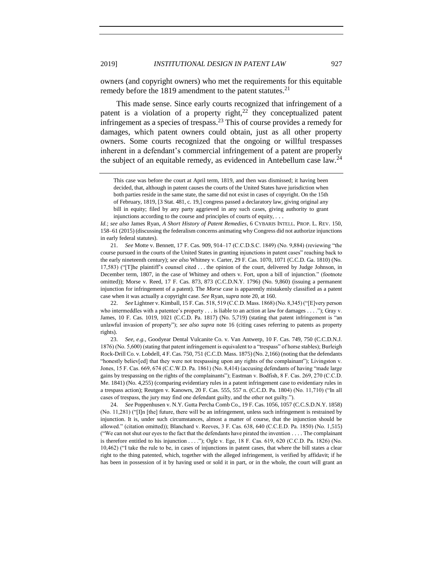owners (and copyright owners) who met the requirements for this equitable remedy before the 1819 amendment to the patent statutes.<sup>21</sup>

This made sense. Since early courts recognized that infringement of a patent is a violation of a property right,<sup>22</sup> they conceptualized patent infringement as a species of trespass.<sup>23</sup> This of course provides a remedy for damages, which patent owners could obtain, just as all other property owners. Some courts recognized that the ongoing or willful trespasses inherent in a defendant's commercial infringement of a patent are properly the subject of an equitable remedy, as evidenced in Antebellum case law. $^{24}$ 

21. *See* Motte v. Bennett, 17 F. Cas. 909, 914–17 (C.C.D.S.C. 1849) (No. 9,884) (reviewing "the course pursued in the courts of the United States in granting injunctions in patent cases" reaching back to the early nineteenth century); *see also* Whitney v. Carter, 29 F. Cas. 1070, 1071 (C.C.D. Ga. 1810) (No. 17,583) ("[T]he plaintiff's counsel cited . . . the opinion of the court, delivered by Judge Johnson, in December term, 1807, in the case of Whitney and others v. Fort, upon a bill of injunction." (footnote omitted)); Morse v. Reed, 17 F. Cas. 873, 873 (C.C.D.N.Y. 1796) (No. 9,860) (issuing a permanent injunction for infringement of a patent). The *Morse* case is apparently mistakenly classified as a patent case when it was actually a copyright case. *See* Ryan, *supra* not[e 20,](#page-4-0) at 160.

22. *See* Lightner v. Kimball, 15 F. Cas. 518, 519 (C.C.D. Mass. 1868) (No. 8,345) ("[E]very person who intermeddles with a patentee's property . . . is liable to an action at law for damages . . . ."); Gray v. James, 10 F. Cas. 1019, 1021 (C.C.D. Pa. 1817) (No. 5,719) (stating that patent infringement is "an unlawful invasion of property"); *see also supra* note [16](#page-3-0) (citing cases referring to patents as property rights).

23. *See, e.g.*, Goodyear Dental Vulcanite Co. v. Van Antwerp, 10 F. Cas. 749, 750 (C.C.D.N.J. 1876) (No. 5,600) (stating that patent infringement is equivalent to a "trespass" of horse stables); Burleigh Rock-Drill Co. v. Lobdell, 4 F. Cas. 750, 751 (C.C.D. Mass. 1875) (No. 2,166) (noting that the defendants "honestly believ[ed] that they were not trespassing upon any rights of the complainant"); Livingston v. Jones, 15 F. Cas. 669, 674 (C.C.W.D. Pa. 1861) (No. 8,414) (accusing defendants of having "made large gains by trespassing on the rights of the complainants"); Eastman v. Bodfish, 8 F. Cas. 269, 270 (C.C.D. Me. 1841) (No. 4,255) (comparing evidentiary rules in a patent infringement case to evidentiary rules in a trespass action); Reutgen v. Kanowrs, 20 F. Cas. 555, 557 n. (C.C.D. Pa. 1804) (No. 11,710) ("In all cases of trespass, the jury may find one defendant guilty, and the other not guilty.").

24. *See* Poppenhusen v. N.Y. Gutta Percha Comb Co., 19 F. Cas. 1056, 1057 (C.C.S.D.N.Y. 1858) (No. 11,281) ("[I]n [the] future, there will be an infringement, unless such infringement is restrained by injunction. It is, under such circumstances, almost a matter of course, that the injunction should be allowed." (citation omitted)); Blanchard v. Reeves, 3 F. Cas. 638, 640 (C.C.E.D. Pa. 1850) (No. 1,515) ("We can not shut our eyes to the fact that the defendants have pirated the invention . . . . The complainant is therefore entitled to his injunction . . . ."); Ogle v. Ege, 18 F. Cas. 619, 620 (C.C.D. Pa. 1826) (No. 10,462) ("I take the rule to be, in cases of injunctions in patent cases, that where the bill states a clear right to the thing patented, which, together with the alleged infringement, is verified by affidavit; if he has been in possession of it by having used or sold it in part, or in the whole, the court will grant an

This case was before the court at April term, 1819, and then was dismissed; it having been decided, that, although in patent causes the courts of the United States have jurisdiction when both parties reside in the same state, the same did not exist in cases of copyright. On the 15th of February, 1819, [3 Stat. 481, c. 19,] congress passed a declaratory law, giving original any bill in equity; filed by any party aggrieved in any such cases, giving authority to grant injunctions according to the course and principles of courts of equity, . . .

*Id.*; *see also* James Ryan, *A Short History of Patent Remedies*, 6 CYBARIS INTELL. PROP. L. REV. 150, 158–61 (2015) (discussing the federalism concerns animating why Congress did not authorize injunctions in early federal statutes).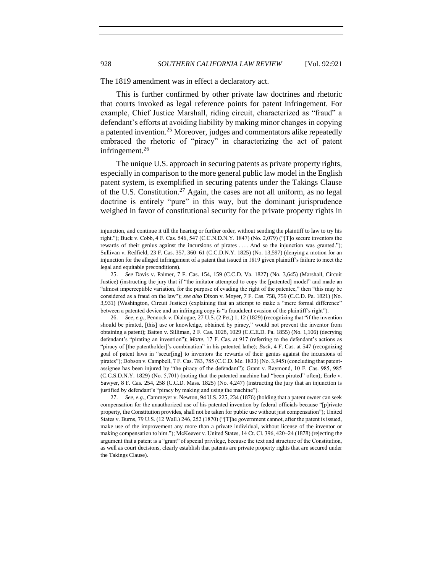The 1819 amendment was in effect a declaratory act.

This is further confirmed by other private law doctrines and rhetoric that courts invoked as legal reference points for patent infringement. For example, Chief Justice Marshall, riding circuit, characterized as "fraud" a defendant's efforts at avoiding liability by making minor changes in copying a patented invention.<sup>25</sup> Moreover, judges and commentators alike repeatedly embraced the rhetoric of "piracy" in characterizing the act of patent infringement.<sup>26</sup>

The unique U.S. approach in securing patents as private property rights, especially in comparison to the more general public law model in the English patent system, is exemplified in securing patents under the Takings Clause of the U.S. Constitution.<sup>27</sup> Again, the cases are not all uniform, as no legal doctrine is entirely "pure" in this way, but the dominant jurisprudence weighed in favor of constitutional security for the private property rights in

26. *See, e.g.*, Pennock v. Dialogue, 27 U.S. (2 Pet.) 1, 12 (1829) (recognizing that "if the invention should be pirated, [this] use or knowledge, obtained by piracy," would not prevent the inventor from obtaining a patent); Batten v. Silliman, 2 F. Cas. 1028, 1029 (C.C.E.D. Pa. 1855) (No. 1,106) (decrying defendant's "pirating an invention"); *Motte*, 17 F. Cas. at 917 (referring to the defendant's actions as "piracy of [the patentholder]'s combination" in his patented lathe); *Buck*, 4 F. Cas. at 547 (recognizing goal of patent laws in "secur[ing] to inventors the rewards of their genius against the incursions of pirates"); Dobson v. Campbell, 7 F. Cas. 783, 785 (C.C.D. Me. 1833) (No. 3,945) (concluding that patentassignee has been injured by "the piracy of the defendant"); Grant v. Raymond, 10 F. Cas. 985, 985 (C.C.S.D.N.Y. 1829) (No. 5,701) (noting that the patented machine had "been pirated" often); Earle v. Sawyer, 8 F. Cas. 254, 258 (C.C.D. Mass. 1825) (No. 4,247) (instructing the jury that an injunction is justified by defendant's "piracy by making and using the machine").

27. *See, e.g.*, Cammeyer v. Newton, 94 U.S. 225, 234 (1876) (holding that a patent owner can seek compensation for the unauthorized use of his patented invention by federal officials because "[p]rivate property, the Constitution provides, shall not be taken for public use without just compensation"); United States v. Burns, 79 U.S. (12 Wall.) 246, 252 (1870) ("[T]he government cannot, after the patent is issued, make use of the improvement any more than a private individual, without license of the inventor or making compensation to him."); McKeever v. United States, 14 Ct. Cl. 396, 420–24 (1878) (rejecting the argument that a patent is a "grant" of special privilege, because the text and structure of the Constitution, as well as court decisions, clearly establish that patents are private property rights that are secured under the Takings Clause).

injunction, and continue it till the hearing or further order, without sending the plaintiff to law to try his right."); Buck v. Cobb, 4 F. Cas. 546, 547 (C.C.N.D.N.Y. 1847) (No. 2,079) ("[T]o secure inventors the rewards of their genius against the incursions of pirates . . . . And so the injunction was granted."); Sullivan v. Redfield, 23 F. Cas. 357, 360–61 (C.C.D.N.Y. 1825) (No. 13,597) (denying a motion for an injunction for the alleged infringement of a patent that issued in 1819 given plaintiff's failure to meet the legal and equitable preconditions).

<sup>25.</sup> *See* Davis v. Palmer, 7 F. Cas. 154, 159 (C.C.D. Va. 1827) (No. 3,645) (Marshall, Circuit Justice) (instructing the jury that if "the imitator attempted to copy the [patented] model" and made an "almost imperceptible variation, for the purpose of evading the right of the patentee," then "this may be considered as a fraud on the law"); *see also* Dixon v. Moyer, 7 F. Cas. 758, 759 (C.C.D. Pa. 1821) (No. 3,931) (Washington, Circuit Justice) (explaining that an attempt to make a "mere formal difference" between a patented device and an infringing copy is "a fraudulent evasion of the plaintiff's right").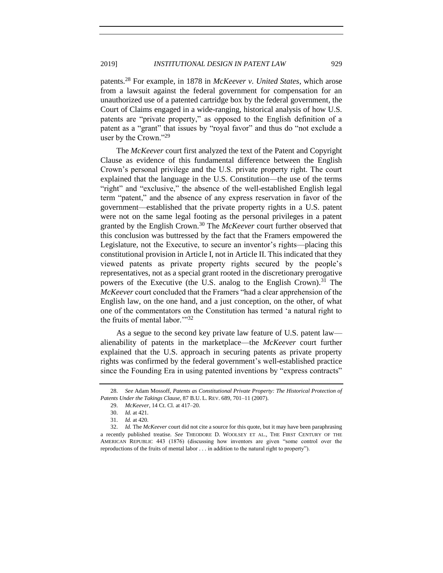<span id="page-8-0"></span>patents.<sup>28</sup> For example, in 1878 in *McKeever v. United States*, which arose from a lawsuit against the federal government for compensation for an unauthorized use of a patented cartridge box by the federal government, the Court of Claims engaged in a wide-ranging, historical analysis of how U.S. patents are "private property," as opposed to the English definition of a patent as a "grant" that issues by "royal favor" and thus do "not exclude a user by the Crown."<sup>29</sup>

The *McKeever* court first analyzed the text of the Patent and Copyright Clause as evidence of this fundamental difference between the English Crown's personal privilege and the U.S. private property right. The court explained that the language in the U.S. Constitution—the use of the terms "right" and "exclusive," the absence of the well-established English legal term "patent," and the absence of any express reservation in favor of the government—established that the private property rights in a U.S. patent were not on the same legal footing as the personal privileges in a patent granted by the English Crown.<sup>30</sup> The *McKeever* court further observed that this conclusion was buttressed by the fact that the Framers empowered the Legislature, not the Executive, to secure an inventor's rights—placing this constitutional provision in Article I, not in Article II. This indicated that they viewed patents as private property rights secured by the people's representatives, not as a special grant rooted in the discretionary prerogative powers of the Executive (the U.S. analog to the English Crown).<sup>31</sup> The *McKeever* court concluded that the Framers "had a clear apprehension of the English law, on the one hand, and a just conception, on the other, of what one of the commentators on the Constitution has termed 'a natural right to the fruits of mental labor."<sup>32</sup>

As a segue to the second key private law feature of U.S. patent law alienability of patents in the marketplace—the *McKeever* court further explained that the U.S. approach in securing patents as private property rights was confirmed by the federal government's well-established practice since the Founding Era in using patented inventions by "express contracts"

<sup>28.</sup> *See* Adam Mossoff, *Patents as Constitutional Private Property: The Historical Protection of Patents Under the Takings Clause*, 87 B.U. L. REV. 689, 701–11 (2007).

<sup>29.</sup> *McKeever,* 14 Ct. Cl. at 417–20.

<sup>30.</sup> *Id.* at 421.

<sup>31.</sup> *Id.* at 420.

<sup>32.</sup> *Id.* The *McKeever* court did not cite a source for this quote, but it may have been paraphrasing a recently published treatise. *See* THEODORE D. WOOLSEY ET AL., THE FIRST CENTURY OF THE AMERICAN REPUBLIC 443 (1876) (discussing how inventors are given "some control over the reproductions of the fruits of mental labor . . . in addition to the natural right to property").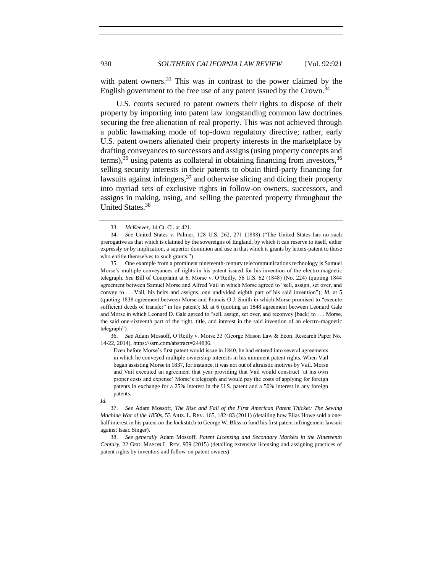with patent owners.<sup>33</sup> This was in contrast to the power claimed by the English government to the free use of any patent issued by the Crown.<sup>34</sup>

U.S. courts secured to patent owners their rights to dispose of their property by importing into patent law longstanding common law doctrines securing the free alienation of real property. This was not achieved through a public lawmaking mode of top-down regulatory directive; rather, early U.S. patent owners alienated their property interests in the marketplace by drafting conveyances to successors and assigns (using property concepts and terms),  $35$  using patents as collateral in obtaining financing from investors,  $36$ selling security interests in their patents to obtain third-party financing for lawsuits against infringers,  $37$  and otherwise slicing and dicing their property into myriad sets of exclusive rights in follow-on owners, successors, and assigns in making, using, and selling the patented property throughout the United States.<sup>38</sup>

36. *See* Adam Mossoff, O'Reilly v. Morse 33 (George Mason Law & Econ. Research Paper No. 14-22, 2014), https://ssrn.com/abstract=244836.

Even before Morse's first patent would issue in 1840, he had entered into several agreements in which he conveyed multiple ownership interests in his imminent patent rights. When Vail began assisting Morse in 1837, for instance, it was not out of altruistic motives by Vail. Morse and Vail executed an agreement that year providing that Vail would construct 'at his own proper costs and expense' Morse's telegraph and would pay the costs of applying for foreign patents in exchange for a 25% interest in the U.S. patent and a 50% interest in any foreign patents.

38. *See generally* Adam Mossoff, *Patent Licensing and Secondary Markets in the Nineteenth Century*, 22 GEO. MASON L. REV. 959 (2015) (detailing extensive licensing and assigning practices of patent rights by inventors and follow-on patent owners).

<sup>33.</sup> *McKeever*, 14 Ct. Cl. at 421.

<sup>34.</sup> *See* United States v. Palmer, 128 U.S. 262, 271 (1888) ("The United States has no such prerogative as that which is claimed by the sovereigns of England, by which it can reserve to itself, either expressly or by implication, a superior dominion and use in that which it grants by letters-patent to those who entitle themselves to such grants.").

<sup>35.</sup> One example from a prominent nineteenth-century telecommunications technology is Samuel Morse's multiple conveyances of rights in his patent issued for his invention of the electro-magnetic telegraph. *See* Bill of Complaint at 6, Morse v. O'Reilly, 56 U.S. 62 (1848) (No. 224) (quoting 1844 agreement between Samuel Morse and Alfred Vail in which Morse agreed to "sell, assign, set over, and convey to . . . Vail, his heirs and assigns, one undivided eighth part of his said invention"); *Id.* at 5 (quoting 1838 agreement between Morse and Francis O.J. Smith in which Morse promised to "execute sufficient deeds of transfer" in his patent); *Id.* at 6 (quoting an 1848 agreement between Leonard Gale and Morse in which Leonard D. Gale agreed to "sell, assign, set over, and reconvey [back] to . . . Morse, the said one-sixteenth part of the right, title, and interest in the said invention of an electro-magnetic telegraph").

*Id.*

<sup>37.</sup> *See* Adam Mossoff, *The Rise and Fall of the First American Patent Thicket: The Sewing Machine War of the 1850s*, 53 ARIZ. L. REV. 165, 182–83 (2011) (detailing how Elias Howe sold a onehalf interest in his patent on the lockstitch to George W. Bliss to fund his first patent infringement lawsuit against Isaac Singer).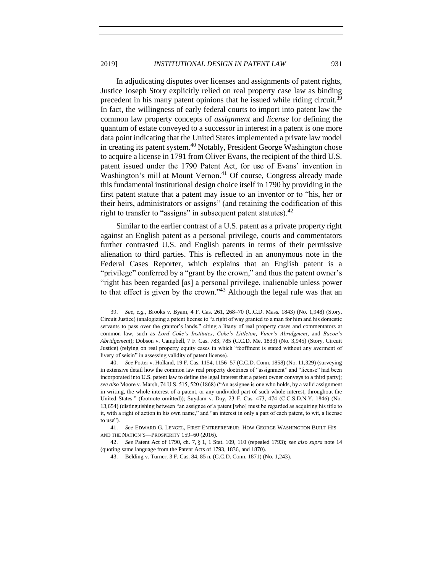In adjudicating disputes over licenses and assignments of patent rights, Justice Joseph Story explicitly relied on real property case law as binding precedent in his many patent opinions that he issued while riding circuit.<sup>39</sup> In fact, the willingness of early federal courts to import into patent law the common law property concepts of *assignment* and *license* for defining the quantum of estate conveyed to a successor in interest in a patent is one more data point indicating that the United States implemented a private law model in creating its patent system.<sup>40</sup> Notably, President George Washington chose to acquire a license in 1791 from Oliver Evans, the recipient of the third U.S. patent issued under the 1790 Patent Act, for use of Evans' invention in Washington's mill at Mount Vernon.<sup>41</sup> Of course, Congress already made this fundamental institutional design choice itself in 1790 by providing in the first patent statute that a patent may issue to an inventor or to "his, her or their heirs, administrators or assigns" (and retaining the codification of this right to transfer to "assigns" in subsequent patent statutes).  $42$ 

Similar to the earlier contrast of a U.S. patent as a private property right against an English patent as a personal privilege, courts and commentators further contrasted U.S. and English patents in terms of their permissive alienation to third parties. This is reflected in an anonymous note in the Federal Cases Reporter, which explains that an English patent is a "privilege" conferred by a "grant by the crown," and thus the patent owner's "right has been regarded [as] a personal privilege, inalienable unless power to that effect is given by the crown."<sup>43</sup> Although the legal rule was that an

<sup>39.</sup> *See, e.g.*, Brooks v. Byam, 4 F. Cas. 261, 268–70 (C.C.D. Mass. 1843) (No. 1,948) (Story, Circuit Justice) (analogizing a patent license to "a right of way granted to a man for him and his domestic servants to pass over the grantor's lands," citing a litany of real property cases and commentators at common law, such as *Lord Coke's Institutes*, *Coke's Littleton*, *Viner's Abridgment*, and *Bacon's Abridgement*); Dobson v. Campbell, 7 F. Cas. 783, 785 (C.C.D. Me. 1833) (No. 3,945) (Story, Circuit Justice) (relying on real property equity cases in which "feoffment is stated without any averment of livery of seisin" in assessing validity of patent license).

<sup>40.</sup> *See* Potter v. Holland, 19 F. Cas. 1154, 1156–57 (C.C.D. Conn. 1858) (No. 11,329) (surveying in extensive detail how the common law real property doctrines of "assignment" and "license" had been incorporated into U.S. patent law to define the legal interest that a patent owner conveys to a third party); *see also* Moore v. Marsh, 74 U.S. 515, 520 (1868) ("An assignee is one who holds, by a valid assignment in writing, the whole interest of a patent, or any undivided part of such whole interest, throughout the United States." (footnote omitted)); Suydam v. Day, 23 F. Cas. 473, 474 (C.C.S.D.N.Y. 1846) (No. 13,654) (distinguishing between "an assignee of a patent [who] must be regarded as acquiring his title to it, with a right of action in his own name," and "an interest in only a part of each patent, to wit, a license to use").

<sup>41.</sup> *See* EDWARD G. LENGEL, FIRST ENTREPRENEUR: HOW GEORGE WASHINGTON BUILT HIS— AND THE NATION'S—PROSPERITY 159–60 (2016).

<sup>42.</sup> *See* Patent Act of 1790, ch. 7, § 1, 1 Stat. 109, 110 (repealed 1793); *see also supra* note [14](#page-3-0) (quoting same language from the Patent Acts of 1793, 1836, and 1870).

<sup>43.</sup> Belding v. Turner, 3 F. Cas. 84, 85 n. (C.C.D. Conn. 1871) (No. 1,243).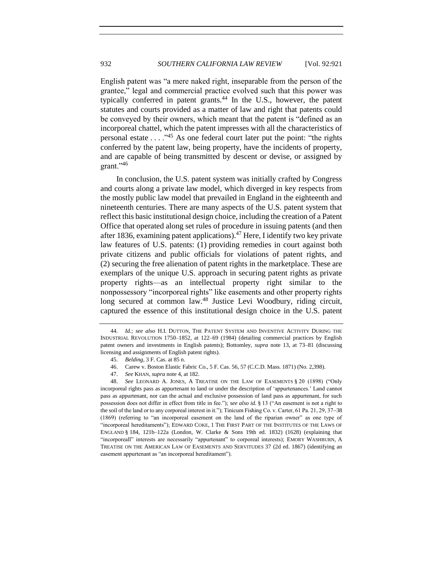English patent was "a mere naked right, inseparable from the person of the grantee," legal and commercial practice evolved such that this power was typically conferred in patent grants.<sup>44</sup> In the U.S., however, the patent statutes and courts provided as a matter of law and right that patents could be conveyed by their owners, which meant that the patent is "defined as an incorporeal chattel, which the patent impresses with all the characteristics of personal estate . . . ."<sup>45</sup> As one federal court later put the point: "the rights conferred by the patent law, being property, have the incidents of property, and are capable of being transmitted by descent or devise, or assigned by grant."<sup>46</sup>

In conclusion, the U.S. patent system was initially crafted by Congress and courts along a private law model, which diverged in key respects from the mostly public law model that prevailed in England in the eighteenth and nineteenth centuries. There are many aspects of the U.S. patent system that reflect this basic institutional design choice, including the creation of a Patent Office that operated along set rules of procedure in issuing patents (and then after 1836, examining patent applications).<sup>47</sup> Here, I identify two key private law features of U.S. patents: (1) providing remedies in court against both private citizens and public officials for violations of patent rights, and (2) securing the free alienation of patent rights in the marketplace. These are exemplars of the unique U.S. approach in securing patent rights as private property rights—as an intellectual property right similar to the nonpossessory "incorporeal rights" like easements and other property rights long secured at common law.<sup>48</sup> Justice Levi Woodbury, riding circuit, captured the essence of this institutional design choice in the U.S. patent

<span id="page-11-0"></span>

<sup>44.</sup> *Id.*; *see also* H.I. DUTTON, THE PATENT SYSTEM AND INVENTIVE ACTIVITY DURING THE INDUSTRIAL REVOLUTION 1750–1852, at 122–69 (1984) (detailing commercial practices by English patent owners and investments in English patents); Bottomley, *supra* note [13,](#page-3-0) at 73–81 (discussing licensing and assignments of English patent rights).

<sup>45.</sup> *Belding*, 3 F. Cas. at 85 n.

<sup>46.</sup> Carew v. Boston Elastic Fabric Co., 5 F. Cas. 56, 57 (C.C.D. Mass. 1871) (No. 2,398).

<sup>47.</sup> *See* KHAN, *supra* not[e 4,](#page-0-0) at 182.

<sup>48.</sup> *See* LEONARD A. JONES, A TREATISE ON THE LAW OF EASEMENTS § 20 (1898) ("Only incorporeal rights pass as appurtenant to land or under the description of 'appurtenances.' Land cannot pass as appurtenant, nor can the actual and exclusive possession of land pass as appurtenant, for such possession does not differ in effect from title in fee."); *see also id.* § 13 ("An easement is not a right to the soil of the land or to any corporeal interest in it."); Tinicum Fishing Co. v. Carter, 61 Pa. 21, 29, 37−38 (1869) (referring to "an incorporeal easement on the land of the riparian owner" as one type of "incorporeal hereditaments"); EDWARD COKE, 1 THE FIRST PART OF THE INSTITUTES OF THE LAWS OF ENGLAND § 184, 121b–122a (London, W. Clarke & Sons 19th ed. 1832) (1628) (explaining that "incorporeall" interests are necessarily "appurtenant" to corporeal interests); EMORY WASHBURN, A TREATISE ON THE AMERICAN LAW OF EASEMENTS AND SERVITUDES 37 (2d ed. 1867) (identifying an easement appurtenant as "an incorporeal hereditament").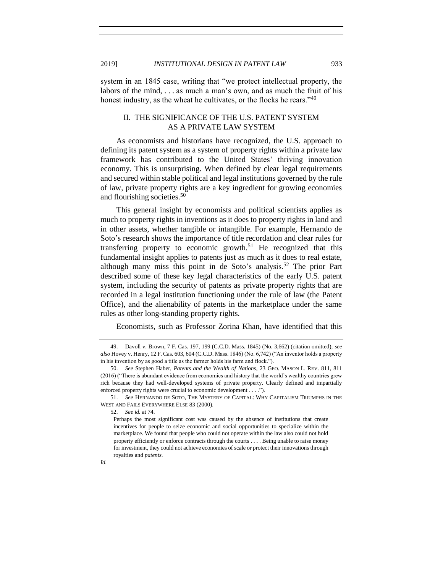<span id="page-12-0"></span>

system in an 1845 case, writing that "we protect intellectual property, the labors of the mind, . . . as much a man's own, and as much the fruit of his honest industry, as the wheat he cultivates, or the flocks he rears."<sup>49</sup>

# II. THE SIGNIFICANCE OF THE U.S. PATENT SYSTEM AS A PRIVATE LAW SYSTEM

As economists and historians have recognized, the U.S. approach to defining its patent system as a system of property rights within a private law framework has contributed to the United States' thriving innovation economy. This is unsurprising. When defined by clear legal requirements and secured within stable political and legal institutions governed by the rule of law, private property rights are a key ingredient for growing economies and flourishing societies.<sup>50</sup>

This general insight by economists and political scientists applies as much to property rights in inventions as it does to property rights in land and in other assets, whether tangible or intangible. For example, Hernando de Soto's research shows the importance of title recordation and clear rules for transferring property to economic growth.<sup>51</sup> He recognized that this fundamental insight applies to patents just as much as it does to real estate, although many miss this point in de Soto's analysis.<sup>52</sup> The prior Part described some of these key legal characteristics of the early U.S. patent system, including the security of patents as private property rights that are recorded in a legal institution functioning under the rule of law (the Patent Office), and the alienability of patents in the marketplace under the same rules as other long-standing property rights.

Economists, such as Professor Zorina Khan, have identified that this

52. *See id.* at 74.

<sup>49.</sup> Davoll v. Brown, 7 F. Cas. 197, 199 (C.C.D. Mass. 1845) (No. 3,662) (citation omitted); *see also* Hovey v. Henry, 12 F. Cas. 603, 604 (C.C.D. Mass. 1846) (No. 6,742) ("An inventor holds a property in his invention by as good a title as the farmer holds his farm and flock.").

<sup>50.</sup> *See* Stephen Haber, *Patents and the Wealth of Nations*, 23 GEO. MASON L. REV. 811, 811 (2016) ("There is abundant evidence from economics and history that the world's wealthy countries grew rich because they had well-developed systems of private property. Clearly defined and impartially enforced property rights were crucial to economic development . . . .").

<sup>51.</sup> *See* HERNANDO DE SOTO, THE MYSTERY OF CAPITAL: WHY CAPITALISM TRIUMPHS IN THE WEST AND FAILS EVERYWHERE ELSE 83 (2000).

Perhaps the most significant cost was caused by the absence of institutions that create incentives for people to seize economic and social opportunities to specialize within the marketplace. We found that people who could not operate within the law also could not hold property efficiently or enforce contracts through the courts . . . . Being unable to raise money for investment, they could not achieve economies of scale or protect their innovations through royalties and *patents*.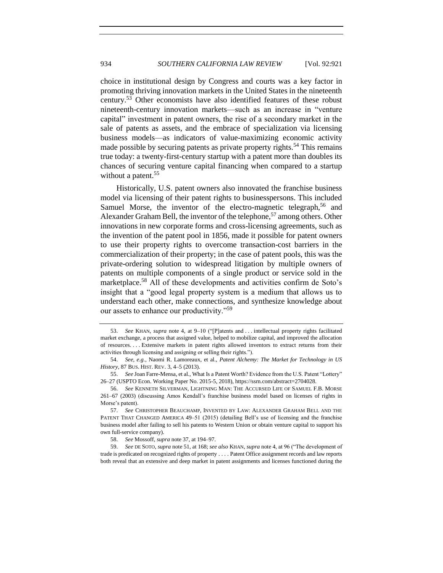<span id="page-13-0"></span>choice in institutional design by Congress and courts was a key factor in promoting thriving innovation markets in the United States in the nineteenth century.<sup>53</sup> Other economists have also identified features of these robust nineteenth-century innovation markets—such as an increase in "venture capital" investment in patent owners, the rise of a secondary market in the sale of patents as assets, and the embrace of specialization via licensing business models—as indicators of value-maximizing economic activity made possible by securing patents as private property rights.<sup>54</sup> This remains true today: a twenty-first-century startup with a patent more than doubles its chances of securing venture capital financing when compared to a startup without a patent.<sup>55</sup>

Historically, U.S. patent owners also innovated the franchise business model via licensing of their patent rights to businesspersons. This included Samuel Morse, the inventor of the electro-magnetic telegraph,<sup>56</sup> and Alexander Graham Bell, the inventor of the telephone,<sup>57</sup> among others. Other innovations in new corporate forms and cross-licensing agreements, such as the invention of the patent pool in 1856, made it possible for patent owners to use their property rights to overcome transaction-cost barriers in the commercialization of their property; in the case of patent pools, this was the private-ordering solution to widespread litigation by multiple owners of patents on multiple components of a single product or service sold in the marketplace.<sup>58</sup> All of these developments and activities confirm de Soto's insight that a "good legal property system is a medium that allows us to understand each other, make connections, and synthesize knowledge about our assets to enhance our productivity."<sup>59</sup>

<sup>53.</sup> *See* KHAN, *supra* note [4,](#page-0-0) at 9–10 ("[P]atents and . . . intellectual property rights facilitated market exchange, a process that assigned value, helped to mobilize capital, and improved the allocation of resources. . . . Extensive markets in patent rights allowed inventors to extract returns from their activities through licensing and assigning or selling their rights.").

<sup>54.</sup> *See, e.g.*, Naomi R. Lamoreaux, et al., *Patent Alchemy: The Market for Technology in US History*, 87 BUS. HIST. REV. 3, 4–5 (2013).

<sup>55.</sup> *See* Joan Farre-Mensa, et al., What Is a Patent Worth? Evidence from the U.S. Patent "Lottery" 26–27 (USPTO Econ. Working Paper No. 2015-5, 2018), https://ssrn.com/abstract=2704028.

<sup>56.</sup> *See* KENNETH SILVERMAN, LIGHTNING MAN: THE ACCURSED LIFE OF SAMUEL F.B. MORSE 261–67 (2003) (discussing Amos Kendall's franchise business model based on licenses of rights in Morse's patent).

<sup>57.</sup> *See* CHRISTOPHER BEAUCHAMP, INVENTED BY LAW: ALEXANDER GRAHAM BELL AND THE PATENT THAT CHANGED AMERICA 49–51 (2015) (detailing Bell's use of licensing and the franchise business model after failing to sell his patents to Western Union or obtain venture capital to support his own full-service company).

<sup>58.</sup> *See* Mossoff, *supra* note [37,](#page-8-0) at 194–97.

<sup>59.</sup> *See* DE SOTO, *supra* not[e 51,](#page-11-0) at 168; *see also* KHAN, *supra* not[e 4,](#page-0-0) at 96 ("The development of trade is predicated on recognized rights of property . . . . Patent Office assignment records and law reports both reveal that an extensive and deep market in patent assignments and licenses functioned during the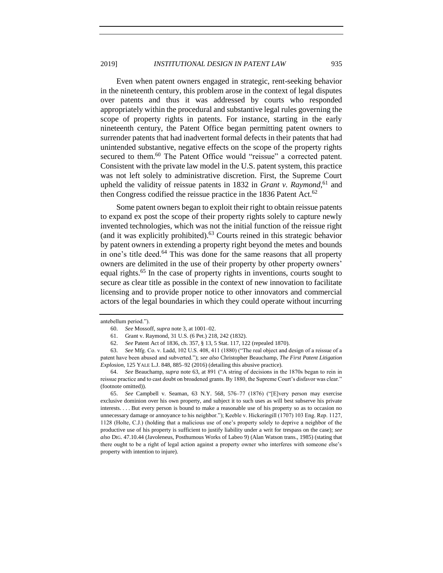Even when patent owners engaged in strategic, rent-seeking behavior in the nineteenth century, this problem arose in the context of legal disputes over patents and thus it was addressed by courts who responded appropriately within the procedural and substantive legal rules governing the scope of property rights in patents. For instance, starting in the early nineteenth century, the Patent Office began permitting patent owners to surrender patents that had inadvertent formal defects in their patents that had unintended substantive, negative effects on the scope of the property rights secured to them.<sup>60</sup> The Patent Office would "reissue" a corrected patent. Consistent with the private law model in the U.S. patent system, this practice was not left solely to administrative discretion. First, the Supreme Court upheld the validity of reissue patents in 1832 in *Grant v. Raymond*,<sup>61</sup> and then Congress codified the reissue practice in the 1836 Patent Act. $62$ 

Some patent owners began to exploit their right to obtain reissue patents to expand ex post the scope of their property rights solely to capture newly invented technologies, which was not the initial function of the reissue right (and it was explicitly prohibited). $^{63}$  Courts reined in this strategic behavior by patent owners in extending a property right beyond the metes and bounds in one's title deed.<sup>64</sup> This was done for the same reasons that all property owners are delimited in the use of their property by other property owners' equal rights.<sup>65</sup> In the case of property rights in inventions, courts sought to secure as clear title as possible in the context of new innovation to facilitate licensing and to provide proper notice to other innovators and commercial actors of the legal boundaries in which they could operate without incurring

65. *See* Campbell v. Seaman, 63 N.Y. 568, 576–77 (1876) ("[E]very person may exercise exclusive dominion over his own property, and subject it to such uses as will best subserve his private interests. . . . But every person is bound to make a reasonable use of his property so as to occasion no unnecessary damage or annoyance to his neighbor."); Keeble v. Hickeringill (1707) 103 Eng. Rep. 1127, 1128 (Holte, C.J.) (holding that a malicious use of one's property solely to deprive a neighbor of the productive use of his property is sufficient to justify liability under a writ for trespass on the case); *see also* DIG. 47.10.44 (Javoleneus, Posthumous Works of Labeo 9) (Alan Watson trans., 1985) (stating that there ought to be a right of legal action against a property owner who interferes with someone else's property with intention to injure).

antebellum period.").

<sup>60.</sup> *See* Mossoff, *supra* note [3,](#page-0-0) at 1001–02.

<sup>61.</sup> Grant v. Raymond, 31 U.S. (6 Pet.) 218, 242 (1832).

<sup>62.</sup> *See* Patent Act of 1836, ch. 357, § 13, 5 Stat. 117, 122 (repealed 1870).

<sup>63.</sup> *See* Mfg. Co. v. Ladd, 102 U.S. 408, 411 (1880) ("The real object and design of a reissue of a patent have been abused and subverted."); *see also* Christopher Beauchamp, *The First Patent Litigation Explosion,* 125 YALE L.J. 848, 885–92 (2016) (detailing this abusive practice).

<sup>64.</sup> *See* Beauchamp, *supra* note [63,](#page-13-0) at 891 ("A string of decisions in the 1870s began to rein in reissue practice and to cast doubt on broadened grants. By 1880, the Supreme Court's disfavor was clear." (footnote omitted)).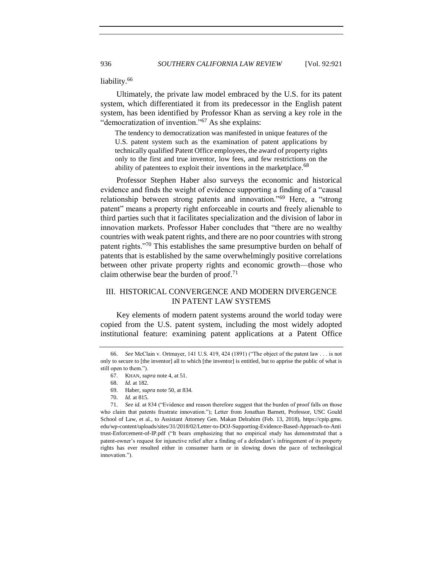liability.<sup>66</sup>

Ultimately, the private law model embraced by the U.S. for its patent system, which differentiated it from its predecessor in the English patent system, has been identified by Professor Khan as serving a key role in the "democratization of invention."<sup>67</sup> As she explains:

The tendency to democratization was manifested in unique features of the U.S. patent system such as the examination of patent applications by technically qualified Patent Office employees, the award of property rights only to the first and true inventor, low fees, and few restrictions on the ability of patentees to exploit their inventions in the marketplace.<sup>68</sup>

Professor Stephen Haber also surveys the economic and historical evidence and finds the weight of evidence supporting a finding of a "causal relationship between strong patents and innovation."<sup>69</sup> Here, a "strong patent" means a property right enforceable in courts and freely alienable to third parties such that it facilitates specialization and the division of labor in innovation markets. Professor Haber concludes that "there are no wealthy countries with weak patent rights, and there are no poor countries with strong patent rights."<sup>70</sup> This establishes the same presumptive burden on behalf of patents that is established by the same overwhelmingly positive correlations between other private property rights and economic growth—those who claim otherwise bear the burden of proof. $71$ 

# III. HISTORICAL CONVERGENCE AND MODERN DIVERGENCE IN PATENT LAW SYSTEMS

Key elements of modern patent systems around the world today were copied from the U.S. patent system, including the most widely adopted institutional feature: examining patent applications at a Patent Office

<sup>66.</sup> *See* McClain v. Ortmayer, 141 U.S. 419, 424 (1891) ("The object of the patent law . . . is not only to secure to [the inventor] all to which [the inventor] is entitled, but to apprise the public of what is still open to them.").

<sup>67.</sup> KHAN, *supra* not[e 4,](#page-0-0) at 51.

<sup>68.</sup> *Id.* at 182.

<sup>69.</sup> Haber, *supra* not[e 50,](#page-11-0) at 834.

<sup>70.</sup> *Id.* at 815.

<sup>71.</sup> *See id.* at 834 ("Evidence and reason therefore suggest that the burden of proof falls on those who claim that patents frustrate innovation."); Letter from Jonathan Barnett, Professor, USC Gould School of Law, et al., to Assistant Attorney Gen. Makan Delrahim (Feb. 13, 2018), https://cpip.gmu. edu/wp-content/uploads/sites/31/2018/02/Letter-to-DOJ-Supporting-Evidence-Based-Approach-to-Anti trust-Enforcement-of-IP.pdf ("It bears emphasizing that no empirical study has demonstrated that a patent-owner's request for injunctive relief after a finding of a defendant's infringement of its property rights has ever resulted either in consumer harm or in slowing down the pace of technological innovation.").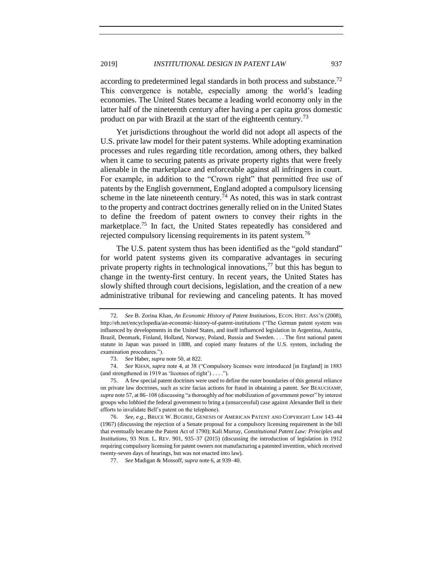according to predetermined legal standards in both process and substance.<sup>72</sup> This convergence is notable, especially among the world's leading economies. The United States became a leading world economy only in the latter half of the nineteenth century after having a per capita gross domestic product on par with Brazil at the start of the eighteenth century.<sup>73</sup>

Yet jurisdictions throughout the world did not adopt all aspects of the U.S. private law model for their patent systems. While adopting examination processes and rules regarding title recordation, among others, they balked when it came to securing patents as private property rights that were freely alienable in the marketplace and enforceable against all infringers in court. For example, in addition to the "Crown right" that permitted free use of patents by the English government, England adopted a compulsory licensing scheme in the late nineteenth century.<sup>74</sup> As noted, this was in stark contrast to the property and contract doctrines generally relied on in the United States to define the freedom of patent owners to convey their rights in the marketplace.<sup>75</sup> In fact, the United States repeatedly has considered and rejected compulsory licensing requirements in its patent system.<sup>76</sup>

The U.S. patent system thus has been identified as the "gold standard" for world patent systems given its comparative advantages in securing private property rights in technological innovations,<sup>77</sup> but this has begun to change in the twenty-first century. In recent years, the United States has slowly shifted through court decisions, legislation, and the creation of a new administrative tribunal for reviewing and canceling patents. It has moved

<sup>72.</sup> *See* B. Zorina Khan, *An Economic History of Patent Institutions*, ECON. HIST. ASS'N (2008), http://eh.net/encyclopedia/an-economic-history-of-patent-institutions ("The German patent system was influenced by developments in the United States, and itself influenced legislation in Argentina, Austria, Brazil, Denmark, Finland, Holland, Norway, Poland, Russia and Sweden. . . . The first national patent statute in Japan was passed in 1888, and copied many features of the U.S. system, including the examination procedures.").

<sup>73.</sup> *See* Haber, *supra* not[e 50,](#page-11-0) at 822.

<sup>74.</sup> *See* KHAN, *supra* note [4,](#page-0-0) at 38 ("Compulsory licenses were introduced [in England] in 1883 (and strengthened in 1919 as 'licenses of right') . . . .").

<sup>75.</sup> A few special patent doctrines were used to define the outer boundaries of this general reliance on private law doctrines, such as scire facias actions for fraud in obtaining a patent. *See* BEAUCHAMP, *supra* not[e 57,](#page-12-0) at 86–108 (discussing "a thoroughly *ad hoc* mobilization of government power" by interest groups who lobbied the federal government to bring a (unsuccessful) case against Alexander Bell in their efforts to invalidate Bell's patent on the telephone).

<sup>76.</sup> *See, e.g.*, BRUCE W. BUGBEE, GENESIS OF AMERICAN PATENT AND COPYRIGHT LAW 143–44 (1967) (discussing the rejection of a Senate proposal for a compulsory licensing requirement in the bill that eventually became the Patent Act of 1790); Kali Murray, *Constitutional Patent Law: Principles and Institutions*, 93 NEB. L. REV. 901, 935–37 (2015) (discussing the introduction of legislation in 1912 requiring compulsory licensing for patent owners not manufacturing a patented invention, which received twenty-seven days of hearings, but was not enacted into law).

<sup>77.</sup> *See* Madigan & Mossoff, *supra* not[e 6,](#page-0-0) at 939–40.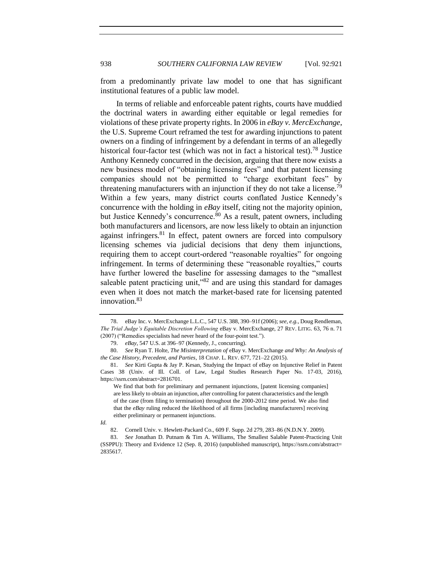from a predominantly private law model to one that has significant institutional features of a public law model.

In terms of reliable and enforceable patent rights, courts have muddied the doctrinal waters in awarding either equitable or legal remedies for violations of these private property rights. In 2006 in *eBay v. MercExchange*, the U.S. Supreme Court reframed the test for awarding injunctions to patent owners on a finding of infringement by a defendant in terms of an allegedly historical four-factor test (which was not in fact a historical test).<sup>78</sup> Justice Anthony Kennedy concurred in the decision, arguing that there now exists a new business model of "obtaining licensing fees" and that patent licensing companies should not be permitted to "charge exorbitant fees" by threatening manufacturers with an injunction if they do not take a license.<sup>79</sup> Within a few years, many district courts conflated Justice Kennedy's concurrence with the holding in *eBay* itself, citing not the majority opinion, but Justice Kennedy's concurrence.<sup>80</sup> As a result, patent owners, including both manufacturers and licensors, are now less likely to obtain an injunction against infringers. $81$  In effect, patent owners are forced into compulsory licensing schemes via judicial decisions that deny them injunctions, requiring them to accept court-ordered "reasonable royalties" for ongoing infringement. In terms of determining these "reasonable royalties," courts have further lowered the baseline for assessing damages to the "smallest saleable patent practicing unit,"82 and are using this standard for damages even when it does not match the market-based rate for licensing patented innovation.<sup>83</sup>

<sup>78.</sup> eBay Inc. v. MercExchange L.L.C., 547 U.S. 388, 390–91f (2006); *see, e.g.*, Doug Rendleman, *The Trial Judge's Equitable Discretion Following* eBay v. MercExchange, 27 REV. LITIG. 63, 76 n. 71 (2007) ("Remedies specialists had never heard of the four-point test.").

<sup>79.</sup> *eBay*, 547 U.S. at 396–97 (Kennedy, J., concurring).

<sup>80.</sup> *See* Ryan T. Holte, *The Misinterpretation of* eBay v. MercExchange *and Why: An Analysis of the Case History, Precedent, and Parties*, 18 CHAP. L. REV. 677, 721–22 (2015).

<sup>81.</sup> *See* Kirti Gupta & Jay P. Kesan, Studying the Impact of eBay on Injunctive Relief in Patent Cases 38 (Univ. of Ill. Coll. of Law, Legal Studies Research Paper No. 17-03, 2016), https://ssrn.com/abstract=2816701.

We find that both for preliminary and permanent injunctions, [patent licensing companies] are less likely to obtain an injunction, after controlling for patent characteristics and the length of the case (from filing to termination) throughout the 2000-2012 time period. We also find that the *eBay* ruling reduced the likelihood of all firms [including manufacturers] receiving either preliminary or permanent injunctions.

*Id.* 

<sup>82.</sup> Cornell Univ. v. Hewlett-Packard Co., 609 F. Supp. 2d 279, 283–86 (N.D.N.Y. 2009).

<sup>83.</sup> *See* Jonathan D. Putnam & Tim A. Williams, The Smallest Salable Patent-Practicing Unit (SSPPU): Theory and Evidence 12 (Sep. 8, 2016) (unpublished manuscript), https://ssrn.com/abstract= 2835617.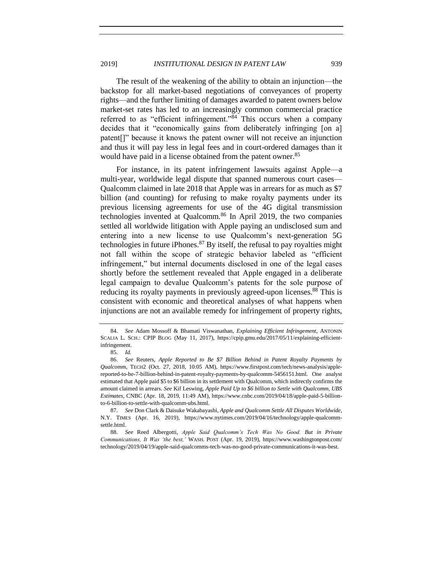The result of the weakening of the ability to obtain an injunction—the backstop for all market-based negotiations of conveyances of property rights—and the further limiting of damages awarded to patent owners below market-set rates has led to an increasingly common commercial practice referred to as "efficient infringement."<sup>84</sup> This occurs when a company decides that it "economically gains from deliberately infringing [on a] patent[]" because it knows the patent owner will not receive an injunction and thus it will pay less in legal fees and in court-ordered damages than it would have paid in a license obtained from the patent owner.<sup>85</sup>

For instance, in its patent infringement lawsuits against Apple—a multi-year, worldwide legal dispute that spanned numerous court cases— Qualcomm claimed in late 2018 that Apple was in arrears for as much as \$7 billion (and counting) for refusing to make royalty payments under its previous licensing agreements for use of the 4G digital transmission technologies invented at Qualcomm.<sup>86</sup> In April 2019, the two companies settled all worldwide litigation with Apple paying an undisclosed sum and entering into a new license to use Qualcomm's next-generation 5G technologies in future iPhones.  $87$  By itself, the refusal to pay royalties might not fall within the scope of strategic behavior labeled as "efficient infringement," but internal documents disclosed in one of the legal cases shortly before the settlement revealed that Apple engaged in a deliberate legal campaign to devalue Qualcomm's patents for the sole purpose of reducing its royalty payments in previously agreed-upon licenses.<sup>88</sup> This is consistent with economic and theoretical analyses of what happens when injunctions are not an available remedy for infringement of property rights,

<sup>84.</sup> *See* Adam Mossoff & Bhamati Viswanathan, *Explaining Efficient Infringement*, ANTONIN SCALIA L. SCH.: CPIP BLOG (May 11, 2017), https://cpip.gmu.edu/2017/05/11/explaining-efficientinfringement.

<sup>85.</sup> *Id.*

<sup>86.</sup> *See* Reuters, *Apple Reported to Be \$7 Billion Behind in Patent Royalty Payments by Qualcomm*, TECH2 (Oct. 27, 2018, 10:05 AM), https://www.firstpost.com/tech/news-analysis/applereported-to-be-7-billion-behind-in-patent-royalty-payments-by-qualcomm-5456151.html. One analyst estimated that Apple paid \$5 to \$6 billion in its settlement with Qualcomm, which indirectly confirms the amount claimed in arrears. *See* Kif Leswing, *Apple Paid Up to \$6 billion to Settle with Qualcomm, UBS Estimates*, CNBC (Apr. 18, 2019, 11:49 AM), https://www.cnbc.com/2019/04/18/apple-paid-5-billionto-6-billion-to-settle-with-qualcomm-ubs.html.

<sup>87.</sup> *See* Don Clark & Daisuke Wakabayashi, *Apple and Qualcomm Settle All Disputes Worldwide*, N.Y. TIMES (Apr. 16, 2019), https://www.nytimes.com/2019/04/16/technology/apple-qualcommsettle.html.

<sup>88.</sup> *See* Reed Albergotti, *Apple Said Qualcomm's Tech Was No Good. But in Private Communications, It Was 'the best,'* WASH. POST (Apr. 19, 2019), https://www.washingtonpost.com/ technology/2019/04/19/apple-said-qualcomms-tech-was-no-good-private-communications-it-was-best.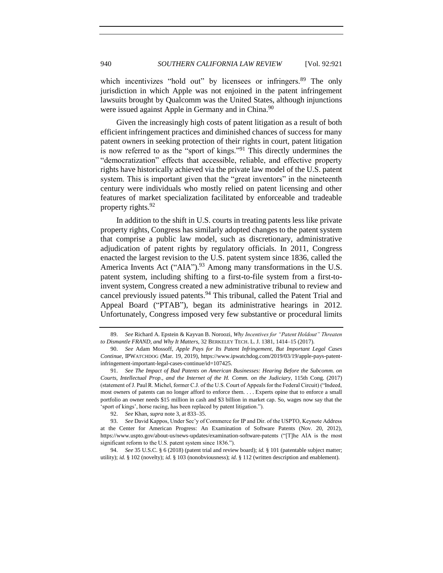which incentivizes "hold out" by licensees or infringers.<sup>89</sup> The only jurisdiction in which Apple was not enjoined in the patent infringement lawsuits brought by Qualcomm was the United States, although injunctions were issued against Apple in Germany and in China.<sup>90</sup>

Given the increasingly high costs of patent litigation as a result of both efficient infringement practices and diminished chances of success for many patent owners in seeking protection of their rights in court, patent litigation is now referred to as the "sport of kings."<sup>91</sup> This directly undermines the "democratization" effects that accessible, reliable, and effective property rights have historically achieved via the private law model of the U.S. patent system. This is important given that the "great inventors" in the nineteenth century were individuals who mostly relied on patent licensing and other features of market specialization facilitated by enforceable and tradeable property rights.<sup>92</sup>

In addition to the shift in U.S. courts in treating patents less like private property rights, Congress has similarly adopted changes to the patent system that comprise a public law model, such as discretionary, administrative adjudication of patent rights by regulatory officials. In 2011, Congress enacted the largest revision to the U.S. patent system since 1836, called the America Invents Act ("AIA").<sup>93</sup> Among many transformations in the U.S. patent system, including shifting to a first-to-file system from a first-toinvent system, Congress created a new administrative tribunal to review and cancel previously issued patents.<sup>94</sup> This tribunal, called the Patent Trial and Appeal Board ("PTAB"), began its administrative hearings in 2012. Unfortunately, Congress imposed very few substantive or procedural limits

<span id="page-19-0"></span>

<sup>89.</sup> *See* Richard A. Epstein & Kayvan B. Noroozi, *Why Incentives for "Patent Holdout" Threaten to Dismantle FRAND, and Why It Matters*, 32 BERKELEY TECH. L. J. 1381, 1414–15 (2017).

<sup>90.</sup> *See* Adam Mossoff, *Apple Pays for Its Patent Infringement, But Important Legal Cases Continue*, IPWATCHDOG (Mar. 19, 2019), https://www.ipwatchdog.com/2019/03/19/apple-pays-patentinfringement-important-legal-cases-continue/id=107425.

<sup>91.</sup> *See The Impact of Bad Patents on American Businesses: Hearing Before the Subcomm. on Courts, Intellectual Prop., and the Internet of the H. Comm. on the Judiciary*, 115th Cong. (2017) (statement of J. Paul R. Michel, former C.J. of the U.S. Court of Appeals for the Federal Circuit) ("Indeed, most owners of patents can no longer afford to enforce them. . . . Experts opine that to enforce a small portfolio an owner needs \$15 million in cash and \$3 billion in market cap. So, wages now say that the 'sport of kings', horse racing, has been replaced by patent litigation.").

<sup>92.</sup> *See* Khan, *supra* not[e 3,](#page-0-0) at 833–35.

<sup>93.</sup> *See* David Kappos, Under Sec'y of Commerce for IP and Dir. of the USPTO, Keynote Address at the Center for American Progress: An Examination of Software Patents (Nov. 20, 2012)*,*  https://www.uspto.gov/about-us/news-updates/examination-software-patents ("[T]he AIA is the most significant reform to the U.S. patent system since 1836.").

<sup>94.</sup> *See* 35 U.S.C. § 6 (2018) (patent trial and review board); *id.* § 101 (patentable subject matter; utility); *id.* § 102 (novelty); *id.* § 103 (nonobviousness); *id.* § 112 (written description and enablement).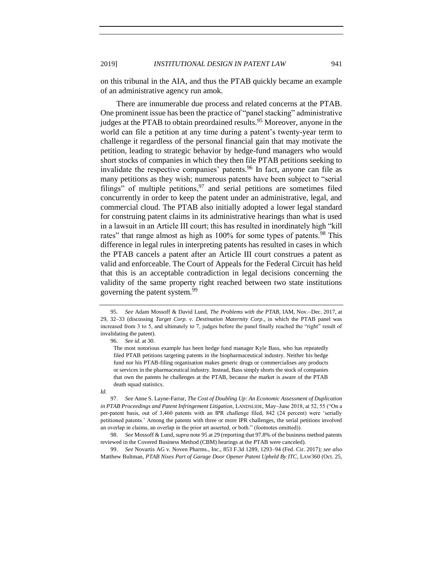on this tribunal in the AIA, and thus the PTAB quickly became an example of an administrative agency run amok.

There are innumerable due process and related concerns at the PTAB. One prominent issue has been the practice of "panel stacking" administrative judges at the PTAB to obtain preordained results.<sup>95</sup> Moreover, anyone in the world can file a petition at any time during a patent's twenty-year term to challenge it regardless of the personal financial gain that may motivate the petition, leading to strategic behavior by hedge-fund managers who would short stocks of companies in which they then file PTAB petitions seeking to invalidate the respective companies' patents.<sup>96</sup> In fact, anyone can file as many petitions as they wish; numerous patents have been subject to "serial filings" of multiple petitions,  $97$  and serial petitions are sometimes filed concurrently in order to keep the patent under an administrative, legal, and commercial cloud. The PTAB also initially adopted a lower legal standard for construing patent claims in its administrative hearings than what is used in a lawsuit in an Article III court; this has resulted in inordinately high "kill rates" that range almost as high as  $100\%$  for some types of patents.<sup>98</sup> This difference in legal rules in interpreting patents has resulted in cases in which the PTAB cancels a patent after an Article III court construes a patent as valid and enforceable. The Court of Appeals for the Federal Circuit has held that this is an acceptable contradiction in legal decisions concerning the validity of the same property right reached between two state institutions governing the patent system.<sup>99</sup>

96. *See id.* at 30.

<sup>95.</sup> *See* Adam Mossoff & David Lund, *The Problems with the PTAB*, IAM, Nov.−Dec. 2017, at 29, 32–33 (discussing *Target Corp. v. Destination Maternity Corp*., in which the PTAB panel was increased from 3 to 5, and ultimately to 7, judges before the panel finally reached the "right" result of invalidating the patent).

The most notorious example has been hedge fund manager Kyle Bass, who has repeatedly filed PTAB petitions targeting patents in the biopharmaceutical industry. Neither his hedge fund nor his PTAB-filing organisation makes generic drugs or commercialises any products or services in the pharmaceutical industry. Instead, Bass simply shorts the stock of companies that own the patents he challenges at the PTAB, because the market is aware of the PTAB death squad statistics.

*Id.*

<sup>97.</sup> *See* Anne S. Layne-Farrar, *The Cost of Doubling Up: An Economic Assessment of Duplication in PTAB Proceedings and Patent Infringement Litigation*, LANDSLIDE, May−June 2018, at 52, 55 ("On a per-patent basis, out of 3,460 patents with an IPR challenge filed, 842 (24 percent) were 'serially petitioned patents.' Among the patents with three or more IPR challenges, the serial petitions involved an overlap in claims, an overlap in the prior art asserted, or both." (footnotes omitted)).

<sup>98.</sup> *See* Mossoff & Lund, *supra* not[e 95](#page-19-0) at 29 (reporting that 97.8% of the business method patents reviewed in the Covered Business Method (CBM) hearings at the PTAB were canceled).

<sup>99.</sup> *See* Novartis AG v. Noven Pharms., Inc., 853 F.3d 1289, 1293–94 (Fed. Cir. 2017); *see also*  Matthew Bultman, *PTAB Nixes Part of Garage Door Opener Patent Upheld By ITC*, LAW360 (Oct. 25,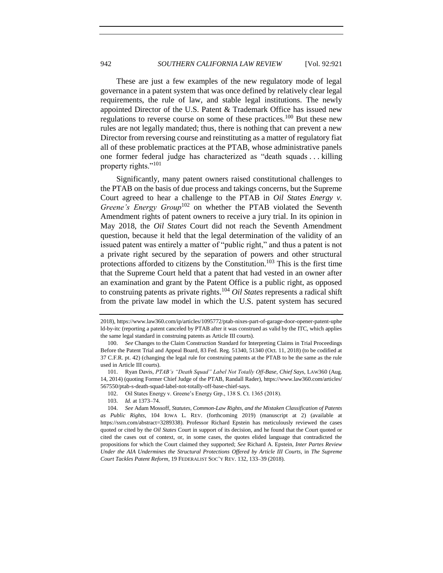These are just a few examples of the new regulatory mode of legal governance in a patent system that was once defined by relatively clear legal requirements, the rule of law, and stable legal institutions. The newly appointed Director of the U.S. Patent & Trademark Office has issued new regulations to reverse course on some of these practices.<sup>100</sup> But these new rules are not legally mandated; thus, there is nothing that can prevent a new Director from reversing course and reinstituting as a matter of regulatory fiat all of these problematic practices at the PTAB, whose administrative panels one former federal judge has characterized as "death squads . . . killing property rights."<sup>101</sup>

Significantly, many patent owners raised constitutional challenges to the PTAB on the basis of due process and takings concerns, but the Supreme Court agreed to hear a challenge to the PTAB in *Oil States Energy v. Greene's Energy Group*<sup>102</sup> on whether the PTAB violated the Seventh Amendment rights of patent owners to receive a jury trial. In its opinion in May 2018, the *Oil States* Court did not reach the Seventh Amendment question, because it held that the legal determination of the validity of an issued patent was entirely a matter of "public right," and thus a patent is not a private right secured by the separation of powers and other structural protections afforded to citizens by the Constitution.<sup>103</sup> This is the first time that the Supreme Court held that a patent that had vested in an owner after an examination and grant by the Patent Office is a public right, as opposed to construing patents as private rights.<sup>104</sup> *Oil States* represents a radical shift from the private law model in which the U.S. patent system has secured

<sup>2018),</sup> https://www.law360.com/ip/articles/1095772/ptab-nixes-part-of-garage-door-opener-patent-uphe ld-by-itc (reporting a patent canceled by PTAB after it was construed as valid by the ITC, which applies the same legal standard in construing patents as Article III courts).

<sup>100.</sup> *See* Changes to the Claim Construction Standard for Interpreting Claims in Trial Proceedings Before the Patent Trial and Appeal Board, 83 Fed. Reg. 51340, 51340 (Oct. 11, 2018) (to be codified at 37 C.F.R. pt. 42) (changing the legal rule for construing patents at the PTAB to be the same as the rule used in Article III courts).

<sup>101.</sup> Ryan Davis, *PTAB's "Death Squad" Label Not Totally Off-Base, Chief Says*, LAW360 (Aug. 14, 2014) (quoting Former Chief Judge of the PTAB, Randall Rader), https://www.law360.com/articles/ 567550/ptab-s-death-squad-label-not-totally-off-base-chief-says.

<sup>102.</sup> Oil States Energy v. Greene's Energy Grp., 138 S. Ct. 1365 (2018).

<sup>103.</sup> *Id.* at 1373–74.

<sup>104.</sup> *See* Adam Mossoff, *Statutes, Common-Law Rights, and the Mistaken Classification of Patents as Public Rights*, 104 IOWA L. REV. (forthcoming 2019) (manuscript at 2) (available at https://ssrn.com/abstract=3289338). Professor Richard Epstein has meticulously reviewed the cases quoted or cited by the *Oil States* Court in support of its decision, and he found that the Court quoted or cited the cases out of context, or, in some cases, the quotes elided language that contradicted the propositions for which the Court claimed they supported; *See* Richard A. Epstein, *Inter Partes Review Under the AIA Undermines the Structural Protections Offered by Article III Courts,* in *The Supreme Court Tackles Patent Reform*, 19 FEDERALIST SOC'Y REV. 132, 133–39 (2018).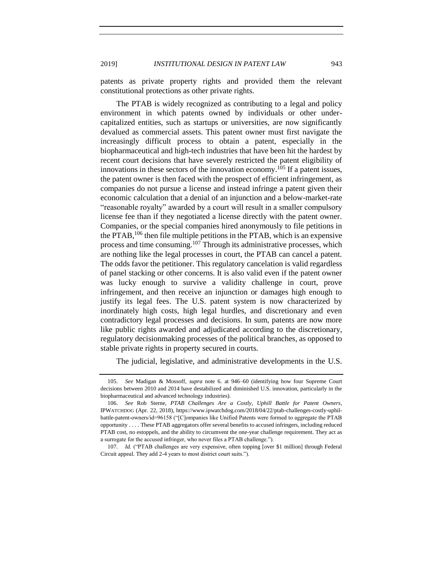patents as private property rights and provided them the relevant constitutional protections as other private rights.

The PTAB is widely recognized as contributing to a legal and policy environment in which patents owned by individuals or other undercapitalized entities, such as startups or universities, are now significantly devalued as commercial assets. This patent owner must first navigate the increasingly difficult process to obtain a patent, especially in the biopharmaceutical and high-tech industries that have been hit the hardest by recent court decisions that have severely restricted the patent eligibility of innovations in these sectors of the innovation economy. <sup>105</sup> If a patent issues, the patent owner is then faced with the prospect of efficient infringement, as companies do not pursue a license and instead infringe a patent given their economic calculation that a denial of an injunction and a below-market-rate "reasonable royalty" awarded by a court will result in a smaller compulsory license fee than if they negotiated a license directly with the patent owner. Companies, or the special companies hired anonymously to file petitions in the PTAB,<sup>106</sup> then file multiple petitions in the PTAB, which is an expensive process and time consuming.<sup>107</sup> Through its administrative processes, which are nothing like the legal processes in court, the PTAB can cancel a patent. The odds favor the petitioner. This regulatory cancelation is valid regardless of panel stacking or other concerns. It is also valid even if the patent owner was lucky enough to survive a validity challenge in court, prove infringement, and then receive an injunction or damages high enough to justify its legal fees. The U.S. patent system is now characterized by inordinately high costs, high legal hurdles, and discretionary and even contradictory legal processes and decisions. In sum, patents are now more like public rights awarded and adjudicated according to the discretionary, regulatory decisionmaking processes of the political branches, as opposed to stable private rights in property secured in courts.

The judicial, legislative, and administrative developments in the U.S.

<sup>105.</sup> *See* Madigan & Mossoff, *supra* note [6.](#page-0-0) at 946–60 (identifying how four Supreme Court decisions between 2010 and 2014 have destabilized and diminished U.S. innovation, particularly in the biopharmaceutical and advanced technology industries).

<sup>106.</sup> *See* Rob Sterne, *PTAB Challenges Are a Costly, Uphill Battle for Patent Owners*, IPWATCHDOG (Apr. 22, 2018), https://www.ipwatchdog.com/2018/04/22/ptab-challenges-costly-uphilbattle-patent-owners/id=96158 ("[C]ompanies like Unified Patents were formed to aggregate the PTAB opportunity . . . . These PTAB aggregators offer several benefits to accused infringers, including reduced PTAB cost, no estoppels, and the ability to circumvent the one-year challenge requirement. They act as a surrogate for the accused infringer, who never files a PTAB challenge.").

<sup>107.</sup> *Id.* ("PTAB challenges are very expensive, often topping [over \$1 million] through Federal Circuit appeal. They add 2-4 years to most district court suits.").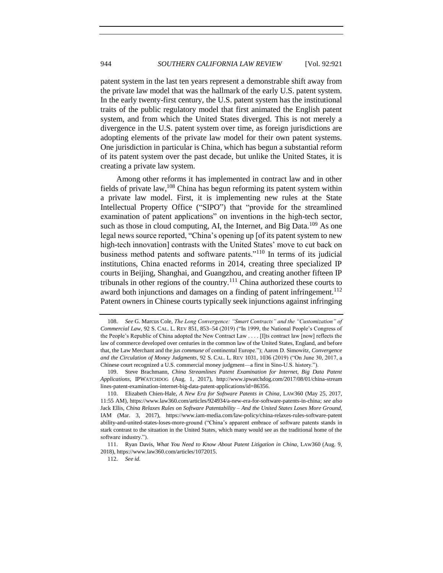patent system in the last ten years represent a demonstrable shift away from the private law model that was the hallmark of the early U.S. patent system. In the early twenty-first century, the U.S. patent system has the institutional traits of the public regulatory model that first animated the English patent system, and from which the United States diverged. This is not merely a divergence in the U.S. patent system over time, as foreign jurisdictions are adopting elements of the private law model for their own patent systems. One jurisdiction in particular is China, which has begun a substantial reform of its patent system over the past decade, but unlike the United States, it is creating a private law system.

Among other reforms it has implemented in contract law and in other fields of private law,  $108$  China has begun reforming its patent system within a private law model. First, it is implementing new rules at the State Intellectual Property Office ("SIPO") that "provide for the streamlined examination of patent applications" on inventions in the high-tech sector, such as those in cloud computing, AI, the Internet, and Big Data.<sup>109</sup> As one legal news source reported, "China's opening up [of its patent system to new high-tech innovation] contrasts with the United States' move to cut back on business method patents and software patents."<sup>110</sup> In terms of its judicial institutions, China enacted reforms in 2014, creating three specialized IP courts in Beijing, Shanghai, and Guangzhou, and creating another fifteen IP tribunals in other regions of the country.<sup>111</sup> China authorized these courts to award both injunctions and damages on a finding of patent infringement.<sup>112</sup> Patent owners in Chinese courts typically seek injunctions against infringing

<sup>108.</sup> *See* G. Marcus Cole, *The Long Convergence: "Smart Contracts" and the "Customization" of Commercial Law*, 92 S. CAL. L. REV 851, 853−54 (2019) ("In 1999, the National People's Congress of the People's Republic of China adopted the New Contract Law . . . . [I]ts contract law [now] reflects the law of commerce developed over centuries in the common law of the United States, England, and before that, the Law Merchant and the *jus commune* of continental Europe."); Aaron D. Simowitz, *Convergence and the Circulation of Money Judgments*, 92 S. CAL. L. REV 1031, 1036 (2019) ("On June 30, 2017, a Chinese court recognized a U.S. commercial money judgment—a first in Sino-U.S. history.").

<sup>109.</sup> Steve Brachmann, *China Streamlines Patent Examination for Internet, Big Data Patent Applications*, IPWATCHDOG (Aug. 1, 2017), http://www.ipwatchdog.com/2017/08/01/china-stream lines-patent-examination-internet-big-data-patent-applications/id=86356.

<sup>110.</sup> Elizabeth Chien-Hale, *A New Era for Software Patents in China*, LAW360 (May 25, 2017, 11:55 AM), https://www.law360.com/articles/924934/a-new-era-for-software-patents-in-china; *see also*  Jack Ellis, *China Relaxes Rules on Software Patentability – And the United States Loses More Ground*, IAM (Mar. 3, 2017), https://www.iam-media.com/law-policy/china-relaxes-rules-software-patent ability-and-united-states-loses-more-ground ("China's apparent embrace of software patents stands in stark contrast to the situation in the United States, which many would see as the traditional home of the software industry.").

<sup>111.</sup> Ryan Davis, *What You Need to Know About Patent Litigation in China*, LAW360 (Aug. 9, 2018), https://www.law360.com/articles/1072015.

<sup>112.</sup> *See id.*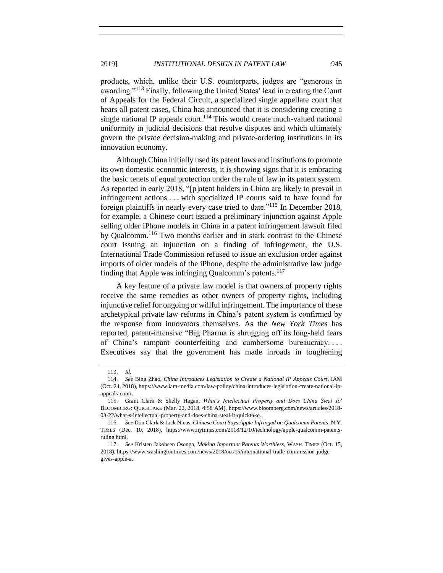products, which, unlike their U.S. counterparts, judges are "generous in awarding."<sup>113</sup> Finally, following the United States' lead in creating the Court of Appeals for the Federal Circuit, a specialized single appellate court that hears all patent cases, China has announced that it is considering creating a single national IP appeals court.<sup>114</sup> This would create much-valued national uniformity in judicial decisions that resolve disputes and which ultimately govern the private decision-making and private-ordering institutions in its innovation economy.

Although China initially used its patent laws and institutions to promote its own domestic economic interests, it is showing signs that it is embracing the basic tenets of equal protection under the rule of law in its patent system. As reported in early 2018, "[p]atent holders in China are likely to prevail in infringement actions . . . with specialized IP courts said to have found for foreign plaintiffs in nearly every case tried to date."<sup>115</sup> In December 2018, for example, a Chinese court issued a preliminary injunction against Apple selling older iPhone models in China in a patent infringement lawsuit filed by Qualcomm.<sup>116</sup> Two months earlier and in stark contrast to the Chinese court issuing an injunction on a finding of infringement, the U.S. International Trade Commission refused to issue an exclusion order against imports of older models of the iPhone, despite the administrative law judge finding that Apple was infringing Qualcomm's patents.<sup>117</sup>

A key feature of a private law model is that owners of property rights receive the same remedies as other owners of property rights, including injunctive relief for ongoing or willful infringement. The importance of these archetypical private law reforms in China's patent system is confirmed by the response from innovators themselves. As the *New York Times* has reported, patent-intensive "Big Pharma is shrugging off its long-held fears of China's rampant counterfeiting and cumbersome bureaucracy. . . . Executives say that the government has made inroads in toughening

<sup>113.</sup> *Id.*

<sup>114.</sup> *See* Bing Zhao, *China Introduces Legislation to Create a National IP Appeals Court*, IAM (Oct. 24, 2018), https://www.iam-media.com/law-policy/china-introduces-legislation-create-national-ipappeals-court.

<sup>115.</sup> Grant Clark & Shelly Hagan, *What's Intellectual Property and Does China Steal It?* BLOOMBERG: QUICKTAKE (Mar. 22, 2018, 4:58 AM), https://www.bloomberg.com/news/articles/2018- 03-22/what-s-intellectual-property-and-does-china-steal-it-quicktake.

<sup>116.</sup> *See* Don Clark & Jack Nicas, *Chinese Court Says Apple Infringed on Qualcomm Patents*, N.Y. TIMES (Dec. 10, 2018), https://www.nytimes.com/2018/12/10/technology/apple-qualcomm-patentsruling.html.

<sup>117.</sup> *See* Kristen Jakobsen Osenga, *Making Important Patents Worthless*, WASH. TIMES (Oct. 15, 2018), https://www.washingtontimes.com/news/2018/oct/15/international-trade-commission-judgegives-apple-a.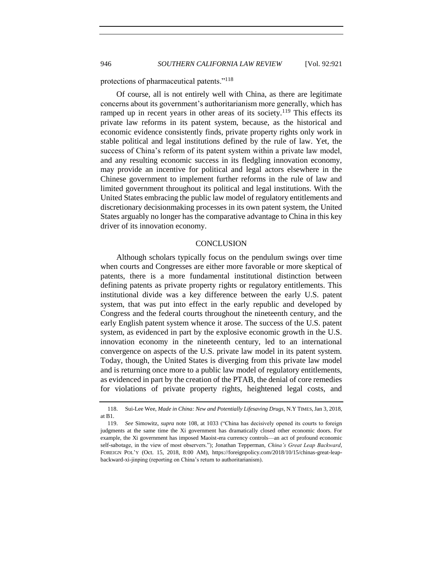protections of pharmaceutical patents."<sup>118</sup>

Of course, all is not entirely well with China, as there are legitimate concerns about its government's authoritarianism more generally, which has ramped up in recent years in other areas of its society.<sup>119</sup> This effects its private law reforms in its patent system, because, as the historical and economic evidence consistently finds, private property rights only work in stable political and legal institutions defined by the rule of law. Yet, the success of China's reform of its patent system within a private law model, and any resulting economic success in its fledgling innovation economy, may provide an incentive for political and legal actors elsewhere in the Chinese government to implement further reforms in the rule of law and limited government throughout its political and legal institutions. With the United States embracing the public law model of regulatory entitlements and discretionary decisionmaking processes in its own patent system, the United States arguably no longer has the comparative advantage to China in this key driver of its innovation economy.

#### **CONCLUSION**

Although scholars typically focus on the pendulum swings over time when courts and Congresses are either more favorable or more skeptical of patents, there is a more fundamental institutional distinction between defining patents as private property rights or regulatory entitlements. This institutional divide was a key difference between the early U.S. patent system, that was put into effect in the early republic and developed by Congress and the federal courts throughout the nineteenth century, and the early English patent system whence it arose. The success of the U.S. patent system, as evidenced in part by the explosive economic growth in the U.S. innovation economy in the nineteenth century, led to an international convergence on aspects of the U.S. private law model in its patent system. Today, though, the United States is diverging from this private law model and is returning once more to a public law model of regulatory entitlements, as evidenced in part by the creation of the PTAB, the denial of core remedies for violations of private property rights, heightened legal costs, and

<sup>118.</sup> Sui-Lee Wee, *Made in China: New and Potentially Lifesaving Drugs*, N.Y TIMES,Jan 3, 2018, at B1.

<sup>119.</sup> *See* Simowitz, *supra* note 108, at 1033 ("China has decisively opened its courts to foreign judgments at the same time the Xi government has dramatically closed other economic doors. For example, the Xi government has imposed Maoist-era currency controls—an act of profound economic self-sabotage, in the view of most observers."); Jonathan Tepperman, *China's Great Leap Backward*, FOREIGN POL'Y (Oct. 15, 2018, 8:00 AM), https://foreignpolicy.com/2018/10/15/chinas-great-leapbackward-xi-jinping (reporting on China's return to authoritarianism).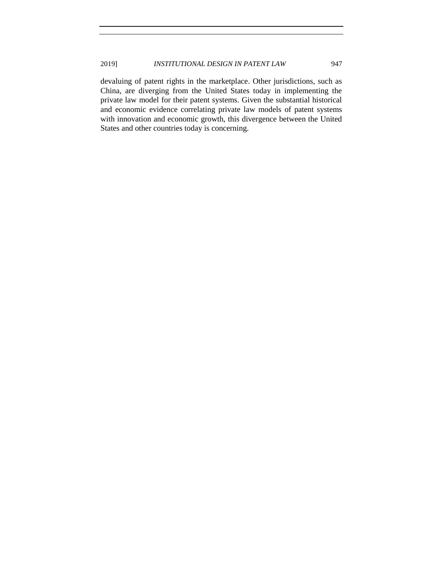devaluing of patent rights in the marketplace. Other jurisdictions, such as China, are diverging from the United States today in implementing the private law model for their patent systems. Given the substantial historical and economic evidence correlating private law models of patent systems with innovation and economic growth, this divergence between the United States and other countries today is concerning.